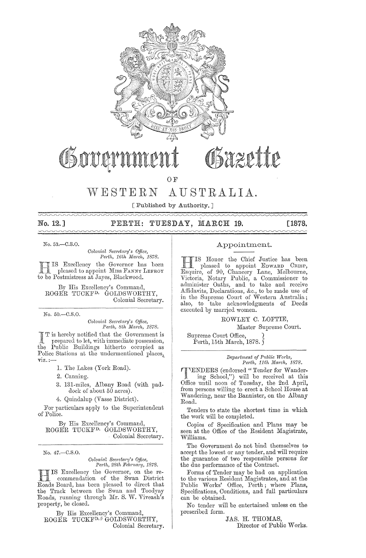

# OSovar

## Bazette

 $O \nF$ 

#### $WESTERN$ AUSTRALIA.

[Published by Authority.]

No. 12.1  $\sim\sim\sim\sim$ 

#### PERTH: TUESDAY, MARCH 19.

[1878.

No. 53.-C.S.O.

Colonial Secretary's Office,<br>Perth, 16th March, 1878.

IS Excellency the Governor has been<br>pleased to appoint Mrss FANNY LEFROY H to be Postmistress at Jayes, Blackwood.

 $\begin{minipage}{.4\linewidth} By His Excellency's Command, ROGER TUCKF^D. GOLDSWORTHY, \end{minipage}$ Colonial Secretary.

No. 50.-C.S.O.

Colonial Secretary's Office,<br>Perth, 8th March, 1878.

T is hereby notified that the Government is prepared to let, with immediate possession, the Public Buildings hitherto occupied as Police Stations at the undermentioned places,  $\overline{\mathbf{v}}$ iz :-

1. The Lakes (York Road).

- 2. Canning.
- 3. 131-miles, Albany Road (with paddock of about 50 acres).
- 4. Quindalup (Vasse District).

For particulars apply to the Superintendent of Police.

By His Excellency's Command, ROGER TUCKF<sup>D.</sup> GOLDSWORTHY, Colonial Secretary.

No. 47 .- C.S.O.

Colonial Secretary's Office, Perth, 28th February, 1878.

 $\begin{array}{|c|c|c|c|c|}\n\hline\n\textbf{I} & \textbf{I} & \textbf{S} & \textbf{E} \textbf{x} & \textbf{c} & \textbf{c} & \textbf{c} & \textbf{c} & \textbf{c} & \textbf{c} \\
\hline\n\textbf{I} & \textbf{I} & \textbf{S} & \textbf{E} & \textbf{x} & \textbf{c} & \textbf{c} & \textbf{c} & \textbf{c} & \textbf{c} & \textbf{c} \\
\hline\n\textbf{I} & \textbf{C} & \textbf{D} & \textbf{D} & \textbf{D} & \textbf{$ commendation of the Swan District Roads Board, has been pleased to direct that the Track between the Swan and Toodyay Roads, running through Mr. S. W. Viveash's property, be closed.

By His Excellency's Command, ROGER TUCKF<sup>D.</sup> GOLDSWORTHY, Colonial Secretary.

#### Appointment.

IS Honor the Chief Justice has been pleased to appoint EDWARD CRISP, Esquire, of 90, Chancery Lane, Melbourne, Victoria, Notary Public, a Commissioner to administer Oaths, and to take and receive Affidavits, Declarations, &c., to be made use of<br>in the Supreme Court of Western Australia; also, to take acknowledgments of Deeds executed by married women.

ROWLEY C. LOFTIE,

Master Supreme Court.

Supreme Court Office, Perth, 15th March, 1878.  $\zeta$ 

> Department of Public Works, Perth, 11th March, 1878.

ENDERS (endorsed "Tender for Wandering School,") will be received at this Office until noon of Tuesday, the 2nd April, from persons willing to erect a School House at Wandering, near the Bannister, on the Albany Road.

Tenders to state the shortest time in which the work will be completed.

Copies of Specification and Plans may be seen at the Office of the Resident Magistrate, Williams.

The Government do not bind themselves to accept the lowest or any tender, and will require the guarantee of two responsible persons for the due performance of the Contract.

Forms of Tender may be had on application to the various Resident Magistrates, and at the Public Works' Office, Perth; where Plans, Specifications, Conditions, and full particulars can be obtained.

No tender will be entertained unless on the prescribed form.

> JAS. H. THOMAS, Director of Public Works.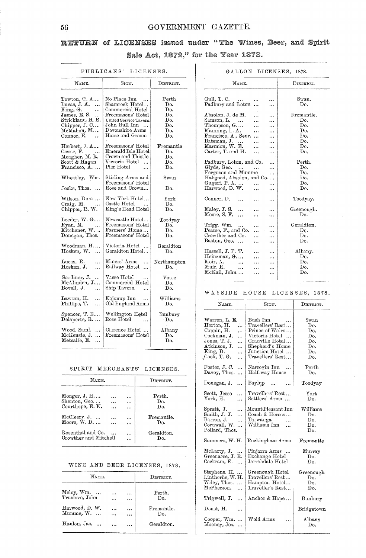### RETURN of LICENSES issued under "The Wines, Beer, and Spirit

### Sale Act, 1872," for the Year 1878.

| PUBLICANS'<br>TICENSES.                                                                                                                                  |                                                                                                                                                                     |                                                                 |  |  |  |  |
|----------------------------------------------------------------------------------------------------------------------------------------------------------|---------------------------------------------------------------------------------------------------------------------------------------------------------------------|-----------------------------------------------------------------|--|--|--|--|
| Nаме.                                                                                                                                                    | SIGN.                                                                                                                                                               | DISTRICT.                                                       |  |  |  |  |
| Towton, G. A<br>Lucas, J. A.<br>$\cdots$<br>King, G.<br>$\ddotsc$<br>James, E. S.<br>.<br>Strickland, H.R.<br>Chipper, J. C<br>McMahon, M.<br>Connor, E. | No Place Inn<br>$\cdots$<br>Shamrock Hotel<br>Commercial Hotel<br>Freemasons' Hotel<br>United Service Tavern<br>John Bull Inn<br>Devonshire Arms<br>Horse and Groom | $_{\rm Perth}$<br>Do.<br>Do.<br>Do.<br>Do.<br>Do.<br>Do.<br>Do. |  |  |  |  |
| Herbert, J. A<br>$\text{Cesar}, \text{F}.$<br>Meagher, M. R.<br>Scott & Hagan<br>Francisco, A.                                                           | $\rm F$ reemasons' $\rm Hotel$<br>Emerald Isle Hotel<br>Crown and Thistle<br>Victoria Hotel<br>Pier Hotel<br>$\ddotsc$                                              | $\rm{Fremantle}$<br>Do.<br>Do.<br>Do.<br>Do.                    |  |  |  |  |
| Wheatley, Wm.<br>Jecks, Thos.<br>$\cdots$                                                                                                                | Stirling Arms and<br>Freemasons' Hotel<br>Rose and Crown                                                                                                            | $_{\rm{Swan}}$<br>Do.                                           |  |  |  |  |
| Wilson, Dora<br>Craig, M.<br>Chipper, R. W.                                                                                                              | New York Hotel<br>Castle Hotel<br>$\cdots$<br>King's Head Hotel                                                                                                     | $_{\rm York}$<br>Do.<br>Do.                                     |  |  |  |  |
| Leeder, W. G<br>Ryan, M.<br>Kitchener, W.<br>Donegan, Thos.                                                                                              | Newcastle Hotel<br>Freemasons' Hotel<br>Farmers' Home<br>Freemasons' Hotel                                                                                          | Toodyay<br>Do.<br>Do.<br>Do.                                    |  |  |  |  |
| Woodman, H<br>Hosken, W.<br>$\ddotsc$                                                                                                                    | Victoria Hotel<br>Geraldton Hotel                                                                                                                                   | Geraldton<br>Do.                                                |  |  |  |  |
| Lucas, R.<br><br>Hosken, J.<br>                                                                                                                          | Miners' Arms<br>.<br>Railway Hotel<br>                                                                                                                              | Northampton<br>Do.                                              |  |  |  |  |
| Gardiner, J.<br>$\ddot{\phantom{a}}$<br>McAlinden, J<br>Bovell, J.                                                                                       | $\rm Vasse~Hotel$<br>Commercial Hotel<br>Ship Tavern<br>.                                                                                                           | $_{\rm Vasse}$<br>Do.<br>Do.                                    |  |  |  |  |
| Lawson, H.<br>.<br>Phillips, T.<br>                                                                                                                      | Kojonup Inn<br><br>Old England Arms                                                                                                                                 | Williams<br>Do.                                                 |  |  |  |  |
| Spencer, T. E<br>Delaporte, R.                                                                                                                           | Wellington Hotel<br>$\operatorname{Rose}\nolimits\operatorname{Hotel}\nolimits$<br>.                                                                                | Bunbury<br>Do.                                                  |  |  |  |  |
| Wood, Saml.<br>.<br>McKenzie, J.<br>$\ddotsc$<br>Metcalfe, E.<br>                                                                                        | Clarence Hotel<br>Freemasons' Hotel                                                                                                                                 | Albany<br>Do.<br>$\mathbf{Do}$ .                                |  |  |  |  |

#### $\frac{1}{2}$ and the state of the state

#### GALLON LICENSES, 1878.

| NAME.                                                                                                                                                                                                            | DISTRICT.                                                   |
|------------------------------------------------------------------------------------------------------------------------------------------------------------------------------------------------------------------|-------------------------------------------------------------|
| Gull, T. C.<br>Padbury and Loton                                                                                                                                                                                 | Swan.<br>Do.                                                |
| Absolon, J. de M.<br>Samson, L.<br>.<br>.<br>Thompson, G<br>$\ddotsc$<br>.<br>Manning, L. A.<br>.<br>$\ddotsc$<br>Francisco, A., Senr<br>Bateman, J<br>Marmion, W. E.<br>.<br>Carter, T. and H.<br>$\cdots$<br>. | Fremantle.<br>Do.<br>Do.<br>Do.<br>Do.<br>Do.<br>Do.<br>Do. |
| Padbury, Loton, and Co.<br>Glyde, Geo.<br>$\cdots$<br>Ferguson and Mumme<br>Habgood, Absolon, and Co<br>Gugeri, P. A.<br>وبالا<br>Harwood, D. W.<br>                                                             | Perth.<br>Do.<br>Do.<br>Do.<br>Do.<br>Do.                   |
| Connor, D.<br>$\ddotsc$                                                                                                                                                                                          | Toodyay.                                                    |
| Maley, J. S.<br>$\ddotsc$<br>Moore, S. F.                                                                                                                                                                        | Greenough.<br>Do.                                           |
| Trigg, Wm.<br>$\cdots$<br>Pearse, F., and Co.<br>$\ddotsc$<br>.<br>Crowther and Co.<br>Baston, Geo.<br>$\ddotsc$<br>.<br>Hassell, J. F. T.<br>.                                                                  | Geraldton.<br>Do.<br>Do.<br>Do.<br>Albany.                  |
| Heinzman, G<br>.<br>Moir, A.<br>$\ddotsc$<br>Muir, R.<br>$\ddotsc$<br>McKail, John<br>.                                                                                                                          | Do.<br>Do.<br>Do.<br>Do.                                    |

#### WAYSIDE HOUSE LICENSES, 1878.

| NAME.                                                                                                                                                           | SIGN.                                                                                                                                         | DISTRICT.                                                       |
|-----------------------------------------------------------------------------------------------------------------------------------------------------------------|-----------------------------------------------------------------------------------------------------------------------------------------------|-----------------------------------------------------------------|
| Warren, L. E.<br>Horton, H.<br><br>Coppin, H.<br>.<br>Cockman, J.<br>.<br>Jones, T. J.<br>.<br>$\Lambda$ tkinson, $J.$<br>.<br>King, D.<br><br>"Cook, T. G.<br> | Bush Inn<br>Travellers' Rest<br>Prince of Wales<br>Victoria Hotel<br>Granville Hotel<br>Shepherd's Home<br>Junction Hotel<br>Travellers' Rest | $_{\rm{Swan}}$<br>Do.<br>Do.<br>Do.<br>Do.<br>Do.<br>Do.<br>Do. |
| Foster, J.C.<br>$\ddotsc$<br>Davey, Thos.<br>                                                                                                                   | Narrogin Inn<br>Half-way House                                                                                                                | Perth<br>Do.                                                    |
| Donegan, J.<br>.                                                                                                                                                | Baylup<br>$\ddotsc$<br>                                                                                                                       | Toodyay                                                         |
| Scott, Jesse<br>.<br>$\rm{York},\,H.$<br>$\ddotsc$                                                                                                              | Travellers' Rest<br>Settlers' Arms                                                                                                            | ${\rm York}$<br>Do.                                             |
| Spratt, J.<br><br>Smith, J. J.<br>$\ddotsc$<br>Barron, J.<br><br>Cornwall, W.<br>$\ddotsc$<br>Pollard, Thos.                                                    | Mount Pleasant Inn<br>Coach & Horses<br>Tarwanga<br>Williams Inn<br>                                                                          | $\rm Williams$<br>Do.<br>Do.<br>Do.<br>Do.                      |
| Summers, W. H.                                                                                                                                                  | Rockingham Arms                                                                                                                               | Fremantle                                                       |
| McLarty, J.<br><br>Greenacre, J.<br>Е.<br>Cockram, E.<br>$\ddotsc$                                                                                              | Pinjarra Arms<br>Exchange Hotel<br>Jarrahdale Hotel                                                                                           | Murray<br>Do.<br>Do.                                            |
| Stephens, H.<br>$\ddotsc$<br>Linthorne, W.H.<br>Wiley, Thos.<br>$\ddotsc$<br>McPherson,<br>                                                                     | Greenough Hotel<br>Travellers' Rest<br>Hampton Hotel<br>Traveller's Rest                                                                      | Greenough<br>Do.<br>Do.<br>Do.                                  |
| Trigwell, J.<br>                                                                                                                                                | Anchor & Hope                                                                                                                                 | Bunbury                                                         |
| Doust, H.<br>.                                                                                                                                                  |                                                                                                                                               | Bridgetown                                                      |
| Cooper, Wm.<br>$\ddotsc$<br>Mooney, Jos.<br>                                                                                                                    | Weld Arms<br>                                                                                                                                 | Albany<br>Do.                                                   |
|                                                                                                                                                                 |                                                                                                                                               |                                                                 |

#### SPIRIT MERCHANTS' LICENSES.

| NAME.                  |  |           | DISTRICT.  |
|------------------------|--|-----------|------------|
| Monger, $J. H. \ldots$ |  | $\cdots$  | Perth.     |
| Shenton, Geo,          |  | .         | Do.        |
| Courthope, E. K.       |  |           | Do.        |
| $McCleery, J.$         |  |           | Fremantle. |
| Moore, $W$ . D.        |  |           | Do.        |
| Rosenthal and Co.      |  | $\ddotsc$ | Geraldton. |
| Crowther and Mitchell  |  | .         | Do.        |

#### WINE AND BEER LICENSES, 1878.

| NAME.                                    |  |                        | DISTRICT.         |
|------------------------------------------|--|------------------------|-------------------|
| Meloy, Wm.<br>$\cdots$<br>Truslove, John |  | $\ddotsc$<br>$\ddotsc$ | Perth.<br>Do.     |
| Harwood, D. W.<br>$M$ umme, $W$ .        |  | <br>                   | Fremantle.<br>Do. |
| Hanlon, Jas.                             |  | $\ddotsc$              | Geraldton.        |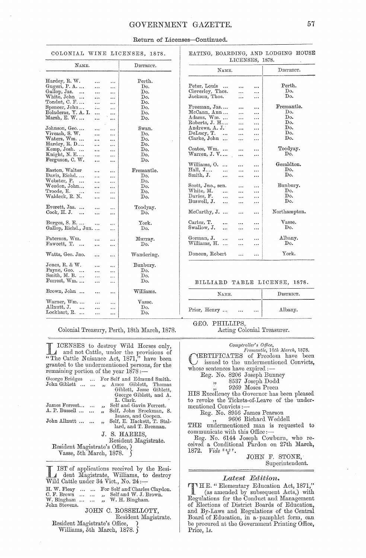| Return of Licenses-Continued. |  |  |
|-------------------------------|--|--|
|-------------------------------|--|--|

| NAME.                              |                        | DISTRICT.  | LICENSE                              |
|------------------------------------|------------------------|------------|--------------------------------------|
|                                    |                        |            | NAME.                                |
| Hardey, R. W.                      | <br>$\cdots$           | Perth.     |                                      |
| Gugeri, P. A                       | $\ddotsc$<br>$\ddotsc$ | Do.        | Peter, Louis                         |
| Gallop, Jas.<br>$\ddotsc$          | $\ddotsc$<br>$\cdots$  | Do.        | Cleverley, Thos.<br>                 |
| White, John                        |                        | Do.        | Jackson, Thos.                       |
|                                    | $\ddotsc$<br>$\ddotsc$ |            |                                      |
| Tondut, C. F                       | <br>                   | Do.        |                                      |
| Spencer, John                      | ٠.,<br>                | Do.        | Freeman, Jas<br>$\ddot{\phantom{a}}$ |
| Boladeras, Y. A. I.                | <br>                   | Do.        | McCann, Ann<br>$\cdots$              |
| Marsh, E. W.                       | <br>$\cdots$           | Do.        | Adams, Wm.<br>                       |
|                                    |                        |            | Roberts, J. H<br>                    |
| Johnson, Geo                       | <br>$\cdots$           | Swan.      | Andrews, A. J.<br>                   |
| Viveash, S. W.                     | <br>                   | Do.        | DeLucy, T.<br>$\ddotsc$<br>          |
| Waters, Wm.                        | <br>                   | Do.        | Clarke, John<br>                     |
| Hardey, R. D                       |                        | Do.        |                                      |
| Kemp, Josh                         |                        | Do.        | Coates, Wm.                          |
|                                    | <br>                   |            | <br>Warren, J. V                     |
| Knight, N. E                       | <br>                   | Do.        |                                      |
| Ferguson, C. W.                    | $\ddotsc$<br>          | Do.        |                                      |
|                                    |                        |            | Williams, O.<br><br>                 |
| Easton, Walter                     | <br>                   | Fremantle. | Hall, J<br>.<br>.                    |
| Davis, Richd                       | .<br>                  | Do.        | Smith, J.<br><br>                    |
| Webster, P.                        | <br>                   | Do.        |                                      |
| Weedon, John                       | <br>.                  | Do.        | Scott, Jno., sen.<br>                |
| Troode, E.<br>$\sim$ $\sim$ $\sim$ |                        | Do.        | White, M.<br>.<br>                   |
| Waldeck, R. N.                     | <br>$\cdots$           |            | Davies, F.                           |
|                                    | <br>$\ldots$           | Do.        | .<br><br>Buswell, J.                 |
|                                    |                        |            | <br>                                 |
| Everett, Jas.<br>$\ddotsc$         | $\cdots$<br>$\cdots$   | Toodyay.   |                                      |
| Cook, H. J.<br>$\ddotsc$           | <br>                   | Do.        | McCarthy, J.<br>$\ddotsc$<br>        |
|                                    |                        | York.      | Carter, T.                           |
| Burges, S. E.                      | <br>                   |            | .<br>$\ddotsc$                       |
| Gallop, Richd., Jun                | $\cdots$               | Do.        | Swallow, J.<br><br>                  |
|                                    |                        |            |                                      |
| Paterson, Wm.                      | $\ddotsc$<br>          | Murray.    | Gorman, J.<br>.<br>                  |
| Fawcett, T.<br>$\cdots$            | <br>$\cdots$           | Do.        | Williams, H.<br>$\ddotsc$<br>        |
| Watts, Geo. Jno.                   | $\cdots$<br>$\cdots$   | Wandering. | Doncon, Robert<br>$\cdots$           |
| Jones, R. & W.                     | $\ddotsc$<br>          | Bunbury.   |                                      |
| Payne, Geo.                        |                        | Do.        |                                      |
| Smith, M. B.                       | <br>                   | Do.        |                                      |
|                                    | <br>                   |            |                                      |
| Forrest, Wm.                       | <br>$\ddotsc$          | Do.        | BILLIARD TABLE                       |
| Brown, John                        | <br>                   | Williams.  | NAME.                                |
| $\text{Warner}, \text{Wm} \dots$   |                        | $V$ asse.  |                                      |
| Allnutt, J.<br>$\ddotsc$           |                        | Do.        |                                      |
| Lockhart, R.                       | <br>                   |            | Prior, Henry                         |
|                                    | <br>$\cdots$           | Do.        |                                      |

Colonial Treasury, Perth, 18th March, 1878.

ICENSES to destroy Wild Horses only, *A* and not Cattle, under the provisions of "The Cattle Nuisance Act, 1871," have been granted to the undermentioned persons, for the<br>remaining portion of the year 1878:— George Bridges ... For Self and Edmund Smith.<br>John Giblett ... ... , Amos Giblett, Thomas<br>Giblett, Jesse Giblett, Asset Giblett, and A. L. Clark. James Forrest... ... Self and Gavin Forrest.  $\overline{\phantom{a}}$ Self, John Brockman, S. A. P. Bussell ... ... دد Isaacs, and Coopen.<br>Self, E. Hackett, T. Stal-John Allnutt $\ldots \quad \ldots$ ,, lard, and T. Brennan. J. S. HARRIS, Resident Magistrate. Resident Magistrate's Office, ¿ Vasse, 5th March, 1878.

IST of applications received by the Resident Magistrate, Williams, to destroy<br>Wild Cattle under 34 Vict., No. 24: H. W. Fleay ... ... For Self and Charles Claydon.<br>C. F. Brown ... ... ,, Self and W. J. Brown.<br>W. Bingham ... ... ,, W. H. Bingham. John Stevens. JOHN C. ROSSELLOTY,

Resident Magistrate. Resident Magistrate's Office, Salent Magistrate's Uffice,<br>Williams, 5th March, 1878.

| LATING, BOARDING, AND LODGING HOUSE |  |  |
|-------------------------------------|--|--|
| LICENSES, 1878.                     |  |  |

| NAME.                                                                                                             |                             |                                                        | DISTRICT.                                            |  |
|-------------------------------------------------------------------------------------------------------------------|-----------------------------|--------------------------------------------------------|------------------------------------------------------|--|
| Peter, Louis<br>$\cdots$<br>Cleverley, Thos.<br>Jackson, Thos.                                                    | .                           | .<br>.<br>.                                            | Perth.<br>Do.<br>Do.                                 |  |
| Freeman, Jas<br>McCann, Ann<br>Adams, Wm.<br>Roberts, J. H<br>$\rm~Andrews,~A.~J~.$<br>DeLucy, T.<br>Clarke, John | $\ddotsc$<br>$\ddotsc$<br>. | .<br>.<br>.<br>$\ddotsc$<br>$\ddotsc$<br>$\ddotsc$<br> | Fremantle.<br>Do.<br>Do.<br>Do.<br>Do.<br>Do.<br>Do. |  |
| Coates, Wm.<br>$Warren, J. V. \dots$<br>Williams, O.<br>$\cdots$<br>Hall, J….<br>$\ddotsc$<br>$_{\rm Smith,~J.}$  | .<br>.                      | <br><br>$\ddotsc$<br>.<br>.                            | Toodyay.<br>Do.<br>Geraldton.<br>Do.<br>Do.          |  |
| Scott, Jno., sen.<br>White, M.<br>Davies, F.<br>Buswell, J.                                                       | $\ddotsc$                   | .<br>.<br>.                                            | Bunbury.<br>Do.<br>Do.<br>Do.                        |  |
| McCarthy, J.<br>$\cdot$<br>Carter, T.<br>Swallow, J.                                                              | .                           | <br>.                                                  | Northampton.<br>Vasse.<br>Do.                        |  |
| Gorman, J.<br>Williams, H.<br>$\ddotsc$<br>Doncon, Robert                                                         | $\ddotsc$                   | .<br>.<br>                                             | Albany.<br>Do.<br>York.                              |  |

LICENSE, 1878.

| NAME.                                | DISTRICT. |
|--------------------------------------|-----------|
| Prior, Henry<br>$\cdots$<br>$\cdots$ | Albany.   |

GEO. PHILLIPS,

Acting Colonial Treasurer.

| Comptroller's Office,                                                                                                                                                                                                                                                          |
|--------------------------------------------------------------------------------------------------------------------------------------------------------------------------------------------------------------------------------------------------------------------------------|
| Fremantle, 16th March, 1878.                                                                                                                                                                                                                                                   |
| NERTIFICATES of Freedom have been                                                                                                                                                                                                                                              |
| UELLIPTON MARINE ON ANTICOLORIST                                                                                                                                                                                                                                               |
| whose sentences have expired $:$ $-$                                                                                                                                                                                                                                           |
| Reg. No. 8206 Joseph Bunney                                                                                                                                                                                                                                                    |
| " 8537 Joseph Dodd                                                                                                                                                                                                                                                             |
| $, 9269$ Moses Preen                                                                                                                                                                                                                                                           |
| HIS Excellency the Governor has been pleased                                                                                                                                                                                                                                   |
| to revoke the Tickets-of-Leave of the under-                                                                                                                                                                                                                                   |
| mentioned Convicts :-                                                                                                                                                                                                                                                          |
| Reg. No. 8956 James Pearson                                                                                                                                                                                                                                                    |
| 9606 Richard Weddell                                                                                                                                                                                                                                                           |
| THE undermentioned man is requested to                                                                                                                                                                                                                                         |
| communicate with this $\text{Office} :=$                                                                                                                                                                                                                                       |
| Reg. No. 6144 Joseph Cowburn, who re-                                                                                                                                                                                                                                          |
| $\sim$ 1 $\sim$ 10 $\sim$ 10 $\sim$ 100 $\sim$ 100 $\sim$ 100 $\sim$ 100 $\sim$ 100 $\sim$ 100 $\sim$ 100 $\sim$ 100 $\sim$ 100 $\sim$ 100 $\sim$ 100 $\sim$ 100 $\sim$ 100 $\sim$ 100 $\sim$ 100 $\sim$ 100 $\sim$ 100 $\sim$ 100 $\sim$ 100 $\sim$ 100 $\sim$ 100 $\sim$ 100 |

ceived a Conditional Pardon on 27th March, 1872. *Vide*  $s_{\frac{4}{3}}$ 7.

JOHN F. STONE, Superintendent.

#### Latest Edition.

THE. "Elementary Education Act, 1871,"<br>(as amended by subsequent Acts) (as amended by subsequent Acts,) with Regulations for the Conduct and Management<br>of Elections of District Boards of Education, and By-Laws and Regulations of the Central Board of Education, in a pamphlet form, can be procured at the Government Printing Office, Price, 1s.